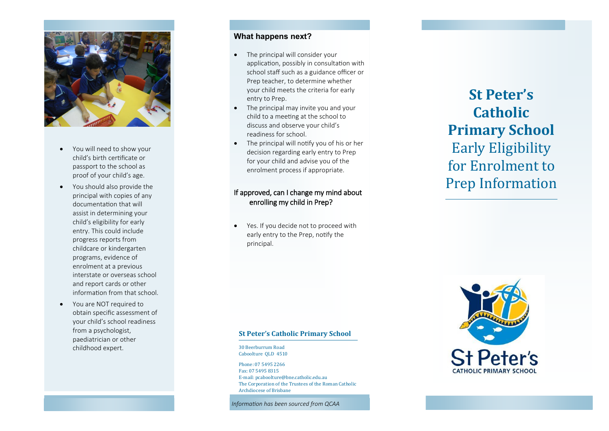

- You will need to show your child's birth certificate or passport to the school as proof of your child's age.
- You should also provide the principal with copies of any documentation that will assist in determining your child's eligibility for early entry. This could include progress reports from childcare or kindergarten programs, evidence of enrolment at a previous interstate or overseas school and report cards or other information from that school.
- You are NOT required to obtain specific assessment of your child's school readiness from a psychologist, paediatrician or other childhood expert.

# **What happens next?**

- The principal will consider your application, possibly in consultation with school staff such as a guidance officer or Prep teacher, to determine whether your child meets the criteria for early entry to Prep.
- The principal may invite you and your child to a meeting at the school to discuss and observe your child's readiness for school.
- The principal will notify you of his or her decision regarding early entry to Prep for your child and advise you of the enrolment process if appropriate.

# If approved, can I change my mind about enrolling my child in Prep?

 Yes. If you decide not to proceed with early entry to the Prep, notify the principal.

# **St Peter's Catholic Primary School**  Early Eligibility for Enrolment to Prep Information

#### **St Peter's Catholic Primary School**

30 Beerburrum Road Caboolture QLD 4510

Phone: 07 5495 2266 Fax: 07 5495 8315 E-mail: pcaboolture@bne.catholic.edu.au The Corporation of the Trustees of the Roman Catholic Archdiocese of Brisbane

*Information has been sourced from QCAA*